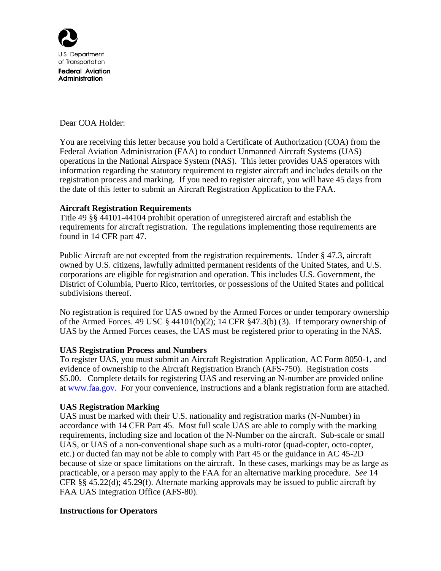

U.S. Department of Transportation

**Federal Aviation Administration** 

Dear COA Holder:

You are receiving this letter because you hold a Certificate of Authorization (COA) from the Federal Aviation Administration (FAA) to conduct Unmanned Aircraft Systems (UAS) operations in the National Airspace System (NAS). This letter provides UAS operators with information regarding the statutory requirement to register aircraft and includes details on the registration process and marking. If you need to register aircraft, you will have 45 days from the date of this letter to submit an Aircraft Registration Application to the FAA.

# **Aircraft Registration Requirements**

Title 49 §§ 44101-44104 prohibit operation of unregistered aircraft and establish the requirements for aircraft registration. The regulations implementing those requirements are found in 14 CFR part 47.

Public Aircraft are not excepted from the registration requirements. Under § 47.3, aircraft owned by U.S. citizens, lawfully admitted permanent residents of the United States, and U.S. corporations are eligible for registration and operation. This includes U.S. Government, the District of Columbia, Puerto Rico, territories, or possessions of the United States and political subdivisions thereof.

No registration is required for UAS owned by the Armed Forces or under temporary ownership of the Armed Forces. 49 USC § 44101(b)(2); 14 CFR §47.3(b) (3). If temporary ownership of UAS by the Armed Forces ceases, the UAS must be registered prior to operating in the NAS.

# **UAS Registration Process and Numbers**

To register UAS, you must submit an Aircraft Registration Application, AC Form 8050-1, and evidence of ownership to the Aircraft Registration Branch (AFS-750). Registration costs \$5.00. Complete details for registering UAS and reserving an N-number are provided online at [www.faa.gov.](http://www.faa.gov/) For your convenience, instructions and a blank registration form are attached.

# **UAS Registration Marking**

UAS must be marked with their U.S. nationality and registration marks (N-Number) in accordance with 14 CFR Part 45. Most full scale UAS are able to comply with the marking requirements, including size and location of the N-Number on the aircraft. Sub-scale or small UAS, or UAS of a non-conventional shape such as a multi-rotor (quad-copter, octo-copter, etc.) or ducted fan may not be able to comply with Part 45 or the guidance in AC 45-2D because of size or space limitations on the aircraft. In these cases, markings may be as large as practicable, or a person may apply to the FAA for an alternative marking procedure. *See* 14 CFR §§ 45.22(d); 45.29(f). Alternate marking approvals may be issued to public aircraft by FAA UAS Integration Office (AFS-80).

# **Instructions for Operators**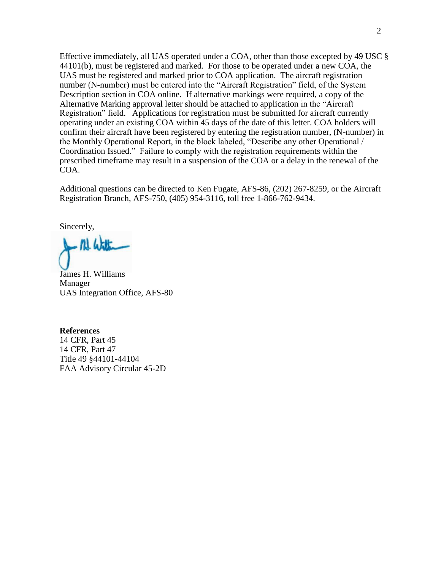Effective immediately, all UAS operated under a COA, other than those excepted by 49 USC § 44101(b), must be registered and marked. For those to be operated under a new COA, the UAS must be registered and marked prior to COA application. The aircraft registration number (N-number) must be entered into the "Aircraft Registration" field, of the System Description section in COA online. If alternative markings were required, a copy of the Alternative Marking approval letter should be attached to application in the "Aircraft Registration" field. Applications for registration must be submitted for aircraft currently operating under an existing COA within 45 days of the date of this letter. COA holders will confirm their aircraft have been registered by entering the registration number, (N-number) in the Monthly Operational Report, in the block labeled, "Describe any other Operational / Coordination Issued." Failure to comply with the registration requirements within the prescribed timeframe may result in a suspension of the COA or a delay in the renewal of the COA.

Additional questions can be directed to Ken Fugate, AFS-86, (202) 267-8259, or the Aircraft Registration Branch, AFS-750, (405) 954-3116, toll free 1-866-762-9434.

Sincerely,

 $n$   $4$   $k$   $k$ 

James H. Williams Manager UAS Integration Office, AFS-80

**References** 14 CFR, Part 45 14 CFR, Part 47 Title 49 §44101-44104 FAA Advisory Circular 45-2D